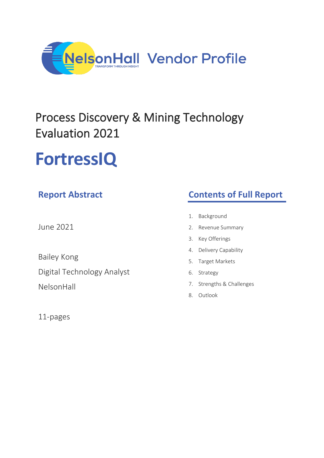

## Process Discovery & Mining Technology Evaluation 2021

# **FortressIQ**

### **Report Abstract**

June 2021

Bailey Kong

Digital Technology Analyst

NelsonHall

11-pages

### **Contents of Full Report**

- 1. Background
- 2. Revenue Summary
- 3. Key Offerings
- 4. Delivery Capability
- 5. Target Markets
- 6. Strategy
- 7. Strengths & Challenges
- 8. Outlook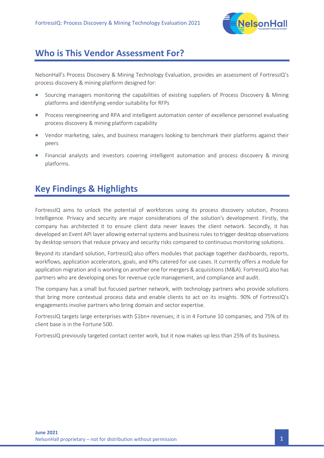

#### **Who is This Vendor Assessment For?**

NelsonHall's Process Discovery & Mining Technology Evaluation, provides an assessment of FortressIQ's process discovery & mining platform designed for:

- Sourcing managers monitoring the capabilities of existing suppliers of Process Discovery & Mining platforms and identifying vendor suitability for RFPs
- Process reengineering and RPA and intelligent automation center of excellence personnel evaluating process discovery & mining platform capability
- Vendor marketing, sales, and business managers looking to benchmark their platforms against their peers
- Financial analysts and investors covering intelligent automation and process discovery & mining platforms.

### **Key Findings & Highlights**

FortressIQ aims to unlock the potential of workforces using its process discovery solution, Process Intelligence. Privacy and security are major considerations of the solution's development. Firstly, the company has architected it to ensure client data never leaves the client network. Secondly, it has developed an Event API layer allowing external systems and business rules to trigger desktop observations by desktop sensors that reduce privacy and security risks compared to continuous monitoring solutions.

Beyond its standard solution, FortressIQ also offers modules that package together dashboards, reports, workflows, application accelerators, goals, and KPIs catered for use cases. It currently offers a module for application migration and is working on another one for mergers & acquisitions (M&A). FortressIQ also has partners who are developing ones for revenue cycle management, and compliance and audit.

The company has a small but focused partner network, with technology partners who provide solutions that bring more contextual process data and enable clients to act on its insights. 90% of FortressIQ's engagements involve partners who bring domain and sector expertise.

FortressIQ targets large enterprises with \$1bn+ revenues; it is in 4 Fortune 10 companies, and 75% of its client base is in the Fortune 500.

FortressIQ previously targeted contact center work, but it now makes up less than 25% of its business.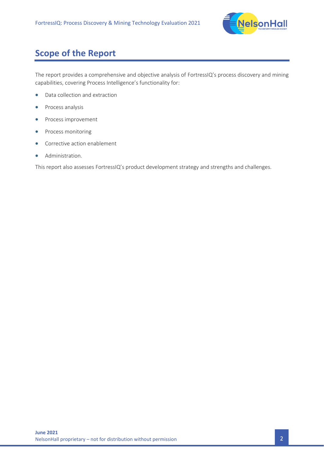

### **Scope of the Report**

The report provides a comprehensive and objective analysis of FortressIQ's process discovery and mining capabilities, covering Process Intelligence's functionality for:

- Data collection and extraction
- Process analysis
- Process improvement
- Process monitoring
- Corrective action enablement
- Administration.

This report also assesses FortressIQ's product development strategy and strengths and challenges.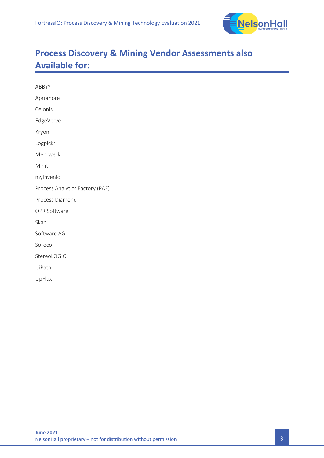

### **Process Discovery & Mining Vendor Assessments also Available for:**

| ABBYY                           |
|---------------------------------|
|                                 |
| Apromore                        |
| Celonis                         |
| EdgeVerve                       |
| Kryon                           |
| Logpickr                        |
| Mehrwerk                        |
| Minit                           |
| mylnvenio                       |
| Process Analytics Factory (PAF) |
| Process Diamond                 |
| QPR Software                    |
| Skan                            |
| Software AG                     |
| Soroco                          |
| StereoLOGIC                     |
| UiPath                          |
| UpFlux                          |
|                                 |